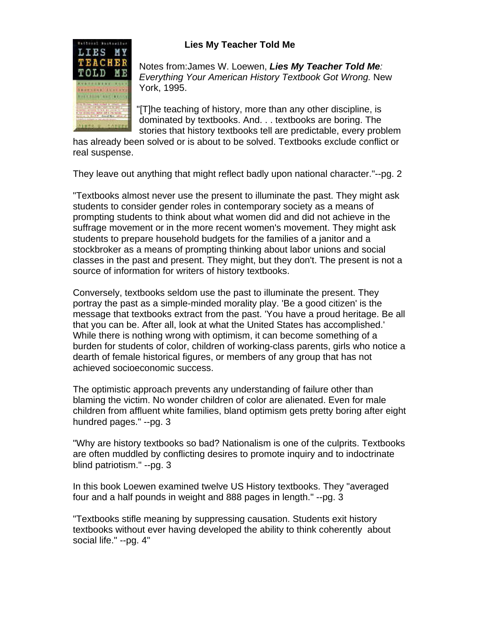## **[L](http://www.simonsays.com/titles/0684818868/C_0684818868.jpg)ies My Teacher Told Me**



 Notes from:James W. Loewen, *Lies My Teacher Told Me: Everything Your American History Textbook Got Wrong.* New York, 1995.

 "[T]he teaching of history, more than any other discipline, is dominated by textbooks. And. . . textbooks are boring. The stories that history textbooks tell are predictable, every problem

has already been solved or is about to be solved. Textbooks exclude conflict or real suspense.

They leave out anything that might reflect badly upon national character."--pg. 2

"Textbooks almost never use the present to illuminate the past. They might ask students to consider gender roles in contemporary society as a means of prompting students to think about what women did and did not achieve in the suffrage movement or in the more recent women's movement. They might ask students to prepare household budgets for the families of a janitor and a stockbroker as a means of prompting thinking about labor unions and social classes in the past and present. They might, but they don't. The present is not a source of information for writers of history textbooks.

Conversely, textbooks seldom use the past to illuminate the present. They portray the past as a simple-minded morality play. 'Be a good citizen' is the message that textbooks extract from the past. 'You have a proud heritage. Be all that you can be. After all, look at what the United States has accomplished.' While there is nothing wrong with optimism, it can become something of a burden for students of color, children of working-class parents, girls who notice a dearth of female historical figures, or members of any group that has not achieved socioeconomic success.

The optimistic approach prevents any understanding of failure other than blaming the victim. No wonder children of color are alienated. Even for male children from affluent white families, bland optimism gets pretty boring after eight hundred pages." --pg. 3

"Why are history textbooks so bad? Nationalism is one of the culprits. Textbooks are often muddled by conflicting desires to promote inquiry and to indoctrinate blind patriotism." --pg. 3

In this book Loewen examined twelve US History textbooks. They "averaged four and a half pounds in weight and 888 pages in length." --pg. 3

"Textbooks stifle meaning by suppressing causation. Students exit history textbooks without ever having developed the ability to think coherently about social life." --pg. 4"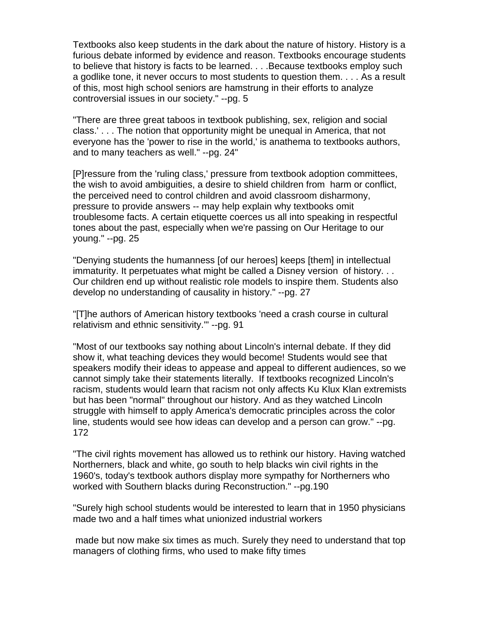Textbooks also keep students in the dark about the nature of history. History is a furious debate informed by evidence and reason. Textbooks encourage students to believe that history is facts to be learned. . . .Because textbooks employ such a godlike tone, it never occurs to most students to question them. . . . As a result of this, most high school seniors are hamstrung in their efforts to analyze controversial issues in our society." --pg. 5

"There are three great taboos in textbook publishing, sex, religion and social class.' . . . The notion that opportunity might be unequal in America, that not everyone has the 'power to rise in the world,' is anathema to textbooks authors, and to many teachers as well." --pg. 24"

[P]ressure from the 'ruling class,' pressure from textbook adoption committees, the wish to avoid ambiguities, a desire to shield children from harm or conflict, the perceived need to control children and avoid classroom disharmony, pressure to provide answers -- may help explain why textbooks omit troublesome facts. A certain etiquette coerces us all into speaking in respectful tones about the past, especially when we're passing on Our Heritage to our young." --pg. 25

"Denying students the humanness [of our heroes] keeps [them] in intellectual immaturity. It perpetuates what might be called a Disney version of history. . . Our children end up without realistic role models to inspire them. Students also develop no understanding of causality in history." --pg. 27

"[T]he authors of American history textbooks 'need a crash course in cultural relativism and ethnic sensitivity.'" --pg. 91

"Most of our textbooks say nothing about Lincoln's internal debate. If they did show it, what teaching devices they would become! Students would see that speakers modify their ideas to appease and appeal to different audiences, so we cannot simply take their statements literally. If textbooks recognized Lincoln's racism, students would learn that racism not only affects Ku Klux Klan extremists but has been "normal" throughout our history. And as they watched Lincoln struggle with himself to apply America's democratic principles across the color line, students would see how ideas can develop and a person can grow." --pg. 172

"The civil rights movement has allowed us to rethink our history. Having watched Northerners, black and white, go south to help blacks win civil rights in the 1960's, today's textbook authors display more sympathy for Northerners who worked with Southern blacks during Reconstruction." --pg.190

"Surely high school students would be interested to learn that in 1950 physicians made two and a half times what unionized industrial workers

 made but now make six times as much. Surely they need to understand that top managers of clothing firms, who used to make fifty times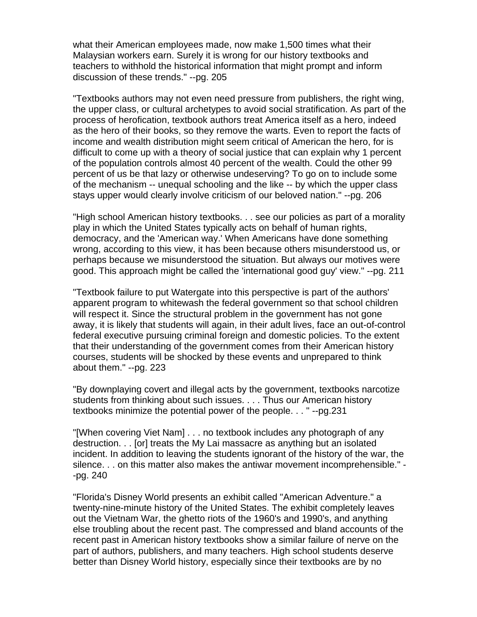what their American employees made, now make 1,500 times what their Malaysian workers earn. Surely it is wrong for our history textbooks and teachers to withhold the historical information that might prompt and inform discussion of these trends." --pg. 205

"Textbooks authors may not even need pressure from publishers, the right wing, the upper class, or cultural archetypes to avoid social stratification. As part of the process of herofication, textbook authors treat America itself as a hero, indeed as the hero of their books, so they remove the warts. Even to report the facts of income and wealth distribution might seem critical of American the hero, for is difficult to come up with a theory of social justice that can explain why 1 percent of the population controls almost 40 percent of the wealth. Could the other 99 percent of us be that lazy or otherwise undeserving? To go on to include some of the mechanism -- unequal schooling and the like -- by which the upper class stays upper would clearly involve criticism of our beloved nation." --pg. 206

"High school American history textbooks. . . see our policies as part of a morality play in which the United States typically acts on behalf of human rights, democracy, and the 'American way.' When Americans have done something wrong, according to this view, it has been because others misunderstood us, or perhaps because we misunderstood the situation. But always our motives were good. This approach might be called the 'international good guy' view." --pg. 211

"Textbook failure to put Watergate into this perspective is part of the authors' apparent program to whitewash the federal government so that school children will respect it. Since the structural problem in the government has not gone away, it is likely that students will again, in their adult lives, face an out-of-control federal executive pursuing criminal foreign and domestic policies. To the extent that their understanding of the government comes from their American history courses, students will be shocked by these events and unprepared to think about them." --pg. 223

"By downplaying covert and illegal acts by the government, textbooks narcotize students from thinking about such issues. . . . Thus our American history textbooks minimize the potential power of the people. . . " --pg.231

"[When covering Viet Nam] . . . no textbook includes any photograph of any destruction. . . [or] treats the My Lai massacre as anything but an isolated incident. In addition to leaving the students ignorant of the history of the war, the silence. . . on this matter also makes the antiwar movement incomprehensible." - -pg. 240

"Florida's Disney World presents an exhibit called "American Adventure." a twenty-nine-minute history of the United States. The exhibit completely leaves out the Vietnam War, the ghetto riots of the 1960's and 1990's, and anything else troubling about the recent past. The compressed and bland accounts of the recent past in American history textbooks show a similar failure of nerve on the part of authors, publishers, and many teachers. High school students deserve better than Disney World history, especially since their textbooks are by no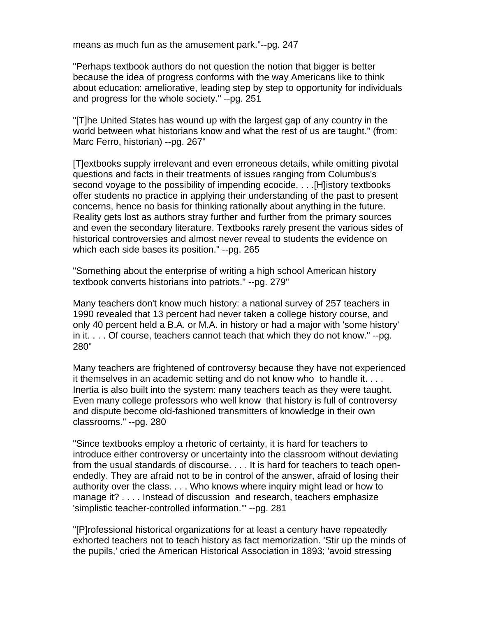means as much fun as the amusement park."--pg. 247

"Perhaps textbook authors do not question the notion that bigger is better because the idea of progress conforms with the way Americans like to think about education: ameliorative, leading step by step to opportunity for individuals and progress for the whole society." --pg. 251

"[T]he United States has wound up with the largest gap of any country in the world between what historians know and what the rest of us are taught." (from: Marc Ferro, historian) --pg. 267"

[T]extbooks supply irrelevant and even erroneous details, while omitting pivotal questions and facts in their treatments of issues ranging from Columbus's second voyage to the possibility of impending ecocide. . . .[H]istory textbooks offer students no practice in applying their understanding of the past to present concerns, hence no basis for thinking rationally about anything in the future. Reality gets lost as authors stray further and further from the primary sources and even the secondary literature. Textbooks rarely present the various sides of historical controversies and almost never reveal to students the evidence on which each side bases its position." --pg. 265

"Something about the enterprise of writing a high school American history textbook converts historians into patriots." --pg. 279"

Many teachers don't know much history: a national survey of 257 teachers in 1990 revealed that 13 percent had never taken a college history course, and only 40 percent held a B.A. or M.A. in history or had a major with 'some history' in it. . . . Of course, teachers cannot teach that which they do not know." --pg. 280"

Many teachers are frightened of controversy because they have not experienced it themselves in an academic setting and do not know who to handle it. . . . Inertia is also built into the system: many teachers teach as they were taught. Even many college professors who well know that history is full of controversy and dispute become old-fashioned transmitters of knowledge in their own classrooms." --pg. 280

"Since textbooks employ a rhetoric of certainty, it is hard for teachers to introduce either controversy or uncertainty into the classroom without deviating from the usual standards of discourse. . . . It is hard for teachers to teach openendedly. They are afraid not to be in control of the answer, afraid of losing their authority over the class. . . . Who knows where inquiry might lead or how to manage it? . . . . Instead of discussion and research, teachers emphasize 'simplistic teacher-controlled information.'" --pg. 281

"[P]rofessional historical organizations for at least a century have repeatedly exhorted teachers not to teach history as fact memorization. 'Stir up the minds of the pupils,' cried the American Historical Association in 1893; 'avoid stressing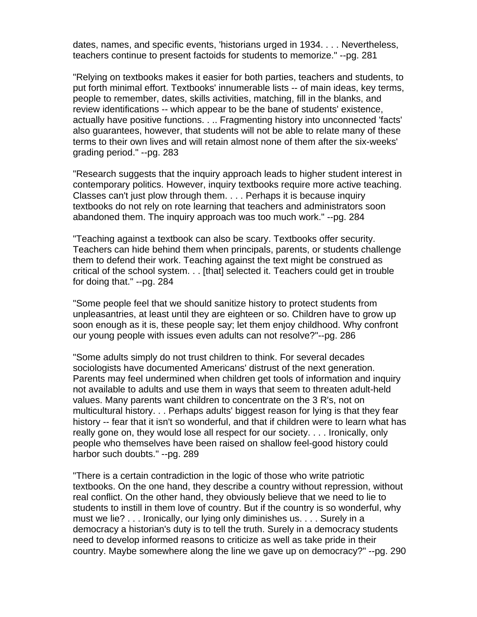dates, names, and specific events, 'historians urged in 1934. . . . Nevertheless, teachers continue to present factoids for students to memorize." --pg. 281

"Relying on textbooks makes it easier for both parties, teachers and students, to put forth minimal effort. Textbooks' innumerable lists -- of main ideas, key terms, people to remember, dates, skills activities, matching, fill in the blanks, and review identifications -- which appear to be the bane of students' existence, actually have positive functions. . .. Fragmenting history into unconnected 'facts' also guarantees, however, that students will not be able to relate many of these terms to their own lives and will retain almost none of them after the six-weeks' grading period." --pg. 283

"Research suggests that the inquiry approach leads to higher student interest in contemporary politics. However, inquiry textbooks require more active teaching. Classes can't just plow through them. . . . Perhaps it is because inquiry textbooks do not rely on rote learning that teachers and administrators soon abandoned them. The inquiry approach was too much work." --pg. 284

"Teaching against a textbook can also be scary. Textbooks offer security. Teachers can hide behind them when principals, parents, or students challenge them to defend their work. Teaching against the text might be construed as critical of the school system. . . [that] selected it. Teachers could get in trouble for doing that." --pg. 284

"Some people feel that we should sanitize history to protect students from unpleasantries, at least until they are eighteen or so. Children have to grow up soon enough as it is, these people say; let them enjoy childhood. Why confront our young people with issues even adults can not resolve?"--pg. 286

"Some adults simply do not trust children to think. For several decades sociologists have documented Americans' distrust of the next generation. Parents may feel undermined when children get tools of information and inquiry not available to adults and use them in ways that seem to threaten adult-held values. Many parents want children to concentrate on the 3 R's, not on multicultural history. . . Perhaps adults' biggest reason for lying is that they fear history -- fear that it isn't so wonderful, and that if children were to learn what has really gone on, they would lose all respect for our society. . . . Ironically, only people who themselves have been raised on shallow feel-good history could harbor such doubts." --pg. 289

"There is a certain contradiction in the logic of those who write patriotic textbooks. On the one hand, they describe a country without repression, without real conflict. On the other hand, they obviously believe that we need to lie to students to instill in them love of country. But if the country is so wonderful, why must we lie? . . . Ironically, our lying only diminishes us. . . . Surely in a democracy a historian's duty is to tell the truth. Surely in a democracy students need to develop informed reasons to criticize as well as take pride in their country. Maybe somewhere along the line we gave up on democracy?" --pg. 290